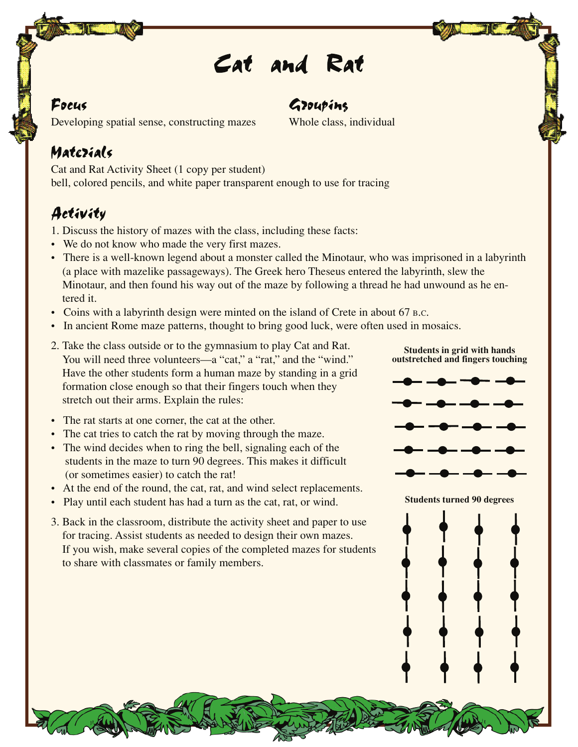## *Cat and Rat*

#### $\mathcal{F}$ ocus est anno 1992, comparator est anno 1992, comparator est anno 1992, comparator est anno 1992, comparator est anno 1992, comparator est anno 1992, comparator est anno 1992, comparator est anno 1992, comparator

Developing spatial sense, constructing mazes Whole class, individual

### Matezials

Cat and Rat Activity Sheet (1 copy per student) bell, colored pencils, and white paper transparent enough to use for tracing

#### Activity

- 1. Discuss the history of mazes with the class, including these facts:
- We do not know who made the very first mazes.
- There is a well-known legend about a monster called the Minotaur, who was imprisoned in a labyrinth (a place with mazelike passageways). The Greek hero Theseus entered the labyrinth, slew the Minotaur, and then found his way out of the maze by following a thread he had unwound as he entered it.
- Coins with a labyrinth design were minted on the island of Crete in about 67 B.C.
- In ancient Rome maze patterns, thought to bring good luck, were often used in mosaics.
- 2. Take the class outside or to the gymnasium to play Cat and Rat. You will need three volunteers—a "cat," a "rat," and the "wind." Have the other students form a human maze by standing in a grid formation close enough so that their fingers touch when they stretch out their arms. Explain the rules:
- The rat starts at one corner, the cat at the other.
- The cat tries to catch the rat by moving through the maze.
- The wind decides when to ring the bell, signaling each of the students in the maze to turn 90 degrees. This makes it difficult (or sometimes easier) to catch the rat!
- At the end of the round, the cat, rat, and wind select replacements.
- Play until each student has had a turn as the cat, rat, or wind.
- 3. Back in the classroom, distribute the activity sheet and paper to use for tracing. Assist students as needed to design their own mazes. If you wish, make several copies of the completed mazes for students to share with classmates or family members.





**Students turned 90 degrees**